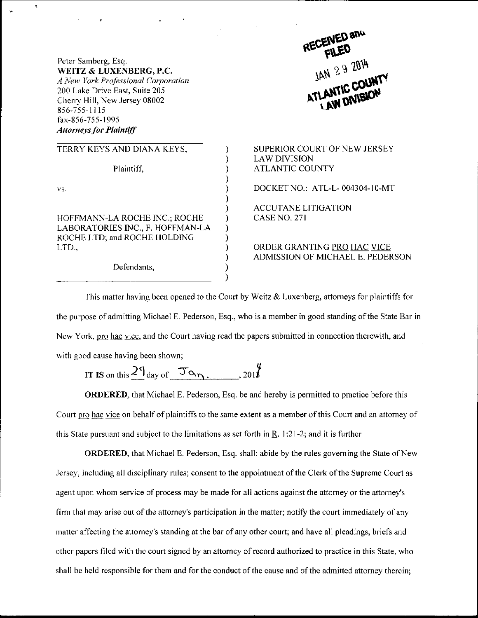Peter Samberg, Esq. WEITZ & LUXENBERG, P.C. A New York Professional Corporation 200 Lake Drive East, Suite 205 Cheny Hill, New Jersey 08002 856-755-1115 fax-856-755-1995 Attorneys for Plaintiff

 $\Delta$ 

| TERRY KEYS AND DIANA KEYS,                                                                                 |
|------------------------------------------------------------------------------------------------------------|
| Plaintiff,                                                                                                 |
| VS.                                                                                                        |
| HOFFMANN-LA ROCHE INC.; ROCHE<br>LABORATORIES INC., F. HOFFMAN-LA<br>ROCHE LTD; and ROCHE HOLDING<br>LTD., |
| $\sim$ $\sim$ $\sim$                                                                                       |

Defendants,

RECENED and<br> $R$ <sup>ECENED</sup><br> $1$ AN 29 2014 ATLANTIC COUNT

) SUPERIOR COURT OF NEW JERSEY LAWDIVISION ATLANTIC COUNTY DOCKET NO.: ATL-L-004304-10-MT ACCUTANE LITIGATION

ORDER GRANTING PRO HAC VICE

CASE NO. 27I

ADMISSION OF MICHAEL E. PEDERSON

This matter having been opened to the Court by Weitz & Luxenberg, attomeys for plaintiffs for the purpose of admitting Michael E. Pederson, Esq., who is a member in good standing ofthe State Bar in New York, pro hac vice, and the Court having read the papers submitted in connection therewith, and with good cause having been shown;

 $\mathcal{E}$ ſ í ⟩

 $\mathcal{E}$ 

IT IS on this  $2^q$  day of  $\sigma_{\gamma}$ , questions on the set of the set of the set of the set of the set of the set of the set of the set of the set of the set of the set of the set of the set of the set of the set of the se

ORDERED, that Michael E. Pederson, Esq. be and hereby is permitted to practice before this Court pro hac vice on behalf of plaintiffs to the same extent as a member of this Court and an attorney of this State pursuant and subject to the limitations as set forth in  $R$ . 1:21-2; and it is further

ORDERED, that Michael E. Pederson, Esq. shall: abide by the rules governing the State of New Jersey, including all disciplinary rules; consent to the appointment of the Clerk of the Supreme Court as agent upon whom service of process may be made for all actions against the attorney or the attorney's firm that may arise out of the attorney's participation in the matter; notify the court immediately of any matter affecting the attorney's standing at the bar of any other court; and have all pleadings, briefs and other papers filed with the court signed by an attomey ofrecord authorized to practice in this State, who shall be held responsible for them and for the conduct of the cause and of the admitted attorney therein;